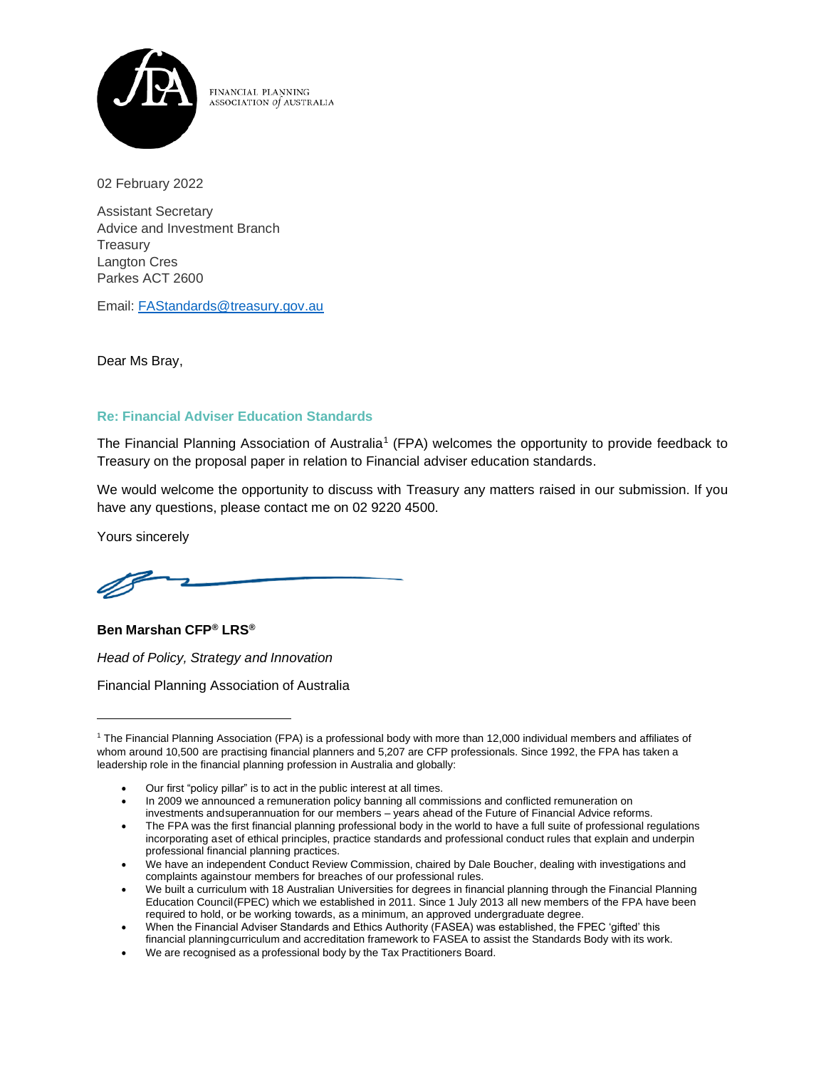

FINANCIAL PLANNING ASSOCIATION of AUSTRALIA

02 February 2022

Assistant Secretary Advice and Investment Branch **Treasury** Langton Cres Parkes ACT 2600

Email: [FAStandards@treasury.gov.au](mailto:FAStandards@treasury.gov.au)

Dear Ms Bray,

# **Re: Financial Adviser Education Standards**

The Financial Planning Association of Australia<sup>1</sup> (FPA) welcomes the opportunity to provide feedback to Treasury on the proposal paper in relation to Financial adviser education standards.

We would welcome the opportunity to discuss with Treasury any matters raised in our submission. If you have any questions, please contact me on 02 9220 4500.

Yours sincerely



**Ben Marshan CFP® LRS®**

*Head of Policy, Strategy and Innovation*

Financial Planning Association of Australia

- Our first "policy pillar" is to act in the public interest at all times.
- In 2009 we announced a remuneration policy banning all commissions and conflicted remuneration on investments andsuperannuation for our members – years ahead of the Future of Financial Advice reforms.
- The FPA was the first financial planning professional body in the world to have a full suite of professional regulations incorporating aset of ethical principles, practice standards and professional conduct rules that explain and underpin professional financial planning practices.
- We have an independent Conduct Review Commission, chaired by Dale Boucher, dealing with investigations and complaints againstour members for breaches of our professional rules.
- We built a curriculum with 18 Australian Universities for degrees in financial planning through the Financial Planning Education Council(FPEC) which we established in 2011. Since 1 July 2013 all new members of the FPA have been required to hold, or be working towards, as a minimum, an approved undergraduate degree.
- When the Financial Adviser Standards and Ethics Authority (FASEA) was established, the FPEC 'gifted' this financial planningcurriculum and accreditation framework to FASEA to assist the Standards Body with its work.
- We are recognised as a professional body by the Tax Practitioners Board.

<sup>1</sup> The Financial Planning Association (FPA) is a professional body with more than 12,000 individual members and affiliates of whom around 10,500 are practising financial planners and 5,207 are CFP professionals. Since 1992, the FPA has taken a leadership role in the financial planning profession in Australia and globally: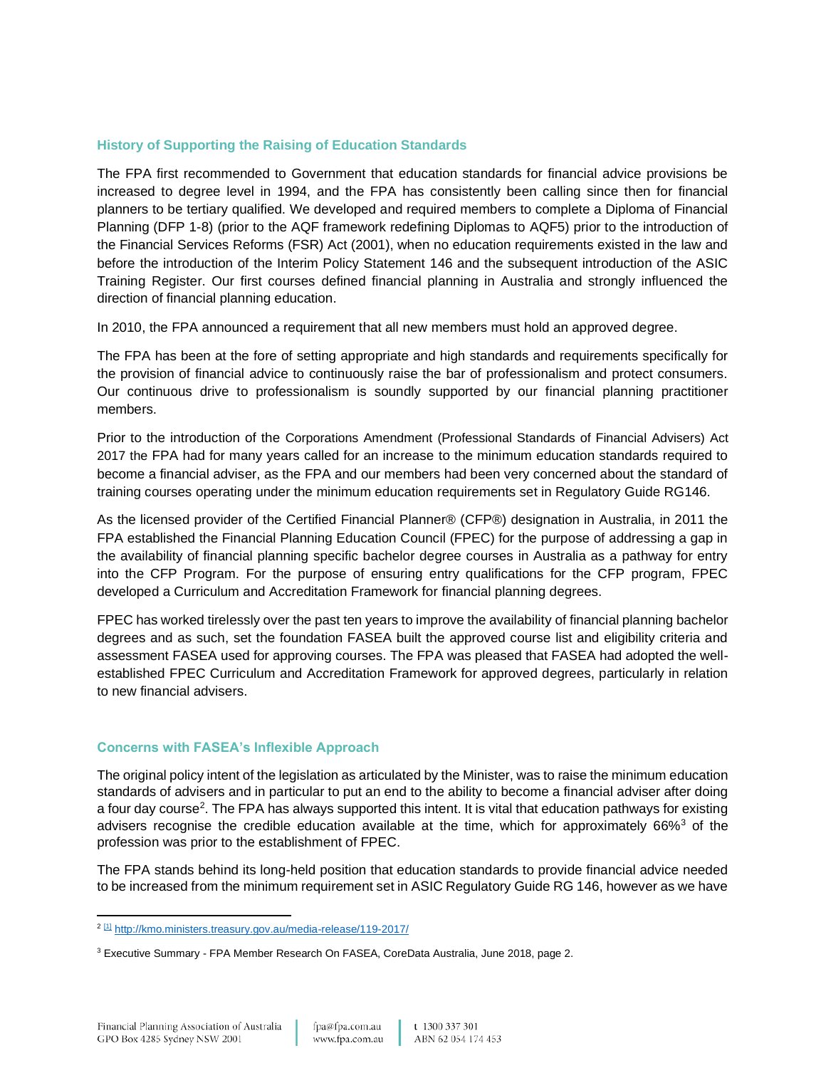## **History of Supporting the Raising of Education Standards**

The FPA first recommended to Government that education standards for financial advice provisions be increased to degree level in 1994, and the FPA has consistently been calling since then for financial planners to be tertiary qualified. We developed and required members to complete a Diploma of Financial Planning (DFP 1-8) (prior to the AQF framework redefining Diplomas to AQF5) prior to the introduction of the Financial Services Reforms (FSR) Act (2001), when no education requirements existed in the law and before the introduction of the Interim Policy Statement 146 and the subsequent introduction of the ASIC Training Register. Our first courses defined financial planning in Australia and strongly influenced the direction of financial planning education.

In 2010, the FPA announced a requirement that all new members must hold an approved degree.

The FPA has been at the fore of setting appropriate and high standards and requirements specifically for the provision of financial advice to continuously raise the bar of professionalism and protect consumers. Our continuous drive to professionalism is soundly supported by our financial planning practitioner members.

Prior to the introduction of the Corporations Amendment (Professional Standards of Financial Advisers) Act 2017 the FPA had for many years called for an increase to the minimum education standards required to become a financial adviser, as the FPA and our members had been very concerned about the standard of training courses operating under the minimum education requirements set in Regulatory Guide RG146.

As the licensed provider of the Certified Financial Planner® (CFP®) designation in Australia, in 2011 the FPA established the Financial Planning Education Council (FPEC) for the purpose of addressing a gap in the availability of financial planning specific bachelor degree courses in Australia as a pathway for entry into the CFP Program. For the purpose of ensuring entry qualifications for the CFP program, FPEC developed a Curriculum and Accreditation Framework for financial planning degrees.

FPEC has worked tirelessly over the past ten years to improve the availability of financial planning bachelor degrees and as such, set the foundation FASEA built the approved course list and eligibility criteria and assessment FASEA used for approving courses. The FPA was pleased that FASEA had adopted the wellestablished FPEC Curriculum and Accreditation Framework for approved degrees, particularly in relation to new financial advisers.

#### **Concerns with FASEA's Inflexible Approach**

The original policy intent of the legislation as articulated by the Minister, was to raise the minimum education standards of advisers and in particular to put an end to the ability to become a financial adviser after doing a four day course<sup>2</sup>. The FPA has always supported this intent. It is vital that education pathways for existing advisers recognise the credible education available at the time, which for approximately  $66\%$ <sup>3</sup> of the profession was prior to the establishment of FPEC.

The FPA stands behind its long-held position that education standards to provide financial advice needed to be increased from the minimum requirement set in ASIC Regulatory Guide RG 146, however as we have

<sup>2</sup> [\[1\]](https://auc-word-edit.officeapps.live.com/we/wordeditorframe.aspx?new=1&ui=en-us&rs=en-us&wopisrc=https%3A%2F%2Ffpaus.sharepoint.com%2Fsites%2Fpolicyteam%2F_vti_bin%2Fwopi.ashx%2Ffiles%2Fd50d36e7e02b445788cec44b11f430fe&wdenableroaming=1&mscc=1&hid=c9434fe1-cb02-ea9e-a909-367d87ba6db4-2332&uiembed=1&uih=teams&uihit=files&hhdr=1&dchat=1&sc=%7B%22pmo%22%3A%22https%3A%2F%2Fteams.microsoft.com%22%2C%22pmshare%22%3Atrue%2C%22surl%22%3A%22%22%2C%22curl%22%3A%22%22%2C%22vurl%22%3A%22%22%2C%22eurl%22%3A%22https%3A%2F%2Fteams.microsoft.com%2Ffiles%2Fapps%2Fcom.microsoft.teams.files%2Ffiles%2F4028475117%2Fopen%3Fagent%3Dpostmessage%26objectUrl%3Dhttps%253A%252F%252Ffpaus.sharepoint.com%252Fsites%252Fpolicyteam%252FShared%2520Documents%252F20220201_Treasury_Education%2520Standard%2520Proposals_DRAFT.docx%26fileId%3Dd50d36e7-e02b-4457-88ce-c44b11f430fe%26fileType%3Ddocx%26ctx%3Dnew_file%26scenarioId%3D2332%26locale%3Den-us%26theme%3Ddefault%26version%3D21120606800%26setting%3Dring.id%3Ageneral%26setting%3DcreatedTime%3A1643340414122%22%7D&wdorigin=TEAMS-ELECTRON.teams.new_file&wdhostclicktime=1643340414018&jsapi=1&jsapiver=v1&newsession=1&corrid=17eb4808-5048-4fcb-b906-08c73998792d&usid=17eb4808-5048-4fcb-b906-08c73998792d&sftc=1&sams=1&accloop=1&sdr=6&scnd=1&sat=1&hbcv=1&htv=1&hodflp=1&wdredirectionreason=Unified_SingleFlush&rct=Medium&ctp=LeastProtected#_ftnref1) <http://kmo.ministers.treasury.gov.au/media-release/119-2017/>

<sup>&</sup>lt;sup>3</sup> Executive Summary - FPA Member Research On FASEA, CoreData Australia, June 2018, page 2.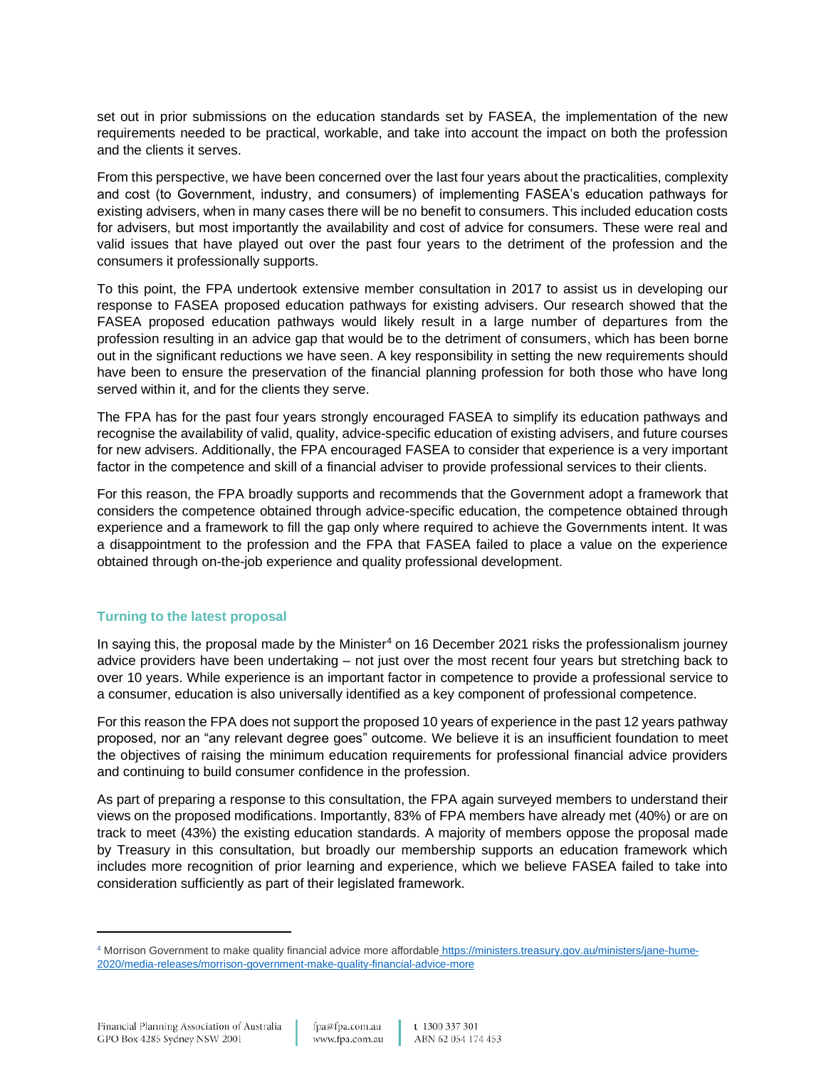set out in prior submissions on the education standards set by FASEA, the implementation of the new requirements needed to be practical, workable, and take into account the impact on both the profession and the clients it serves.

From this perspective, we have been concerned over the last four years about the practicalities, complexity and cost (to Government, industry, and consumers) of implementing FASEA's education pathways for existing advisers, when in many cases there will be no benefit to consumers. This included education costs for advisers, but most importantly the availability and cost of advice for consumers. These were real and valid issues that have played out over the past four years to the detriment of the profession and the consumers it professionally supports.

To this point, the FPA undertook extensive member consultation in 2017 to assist us in developing our response to FASEA proposed education pathways for existing advisers. Our research showed that the FASEA proposed education pathways would likely result in a large number of departures from the profession resulting in an advice gap that would be to the detriment of consumers, which has been borne out in the significant reductions we have seen. A key responsibility in setting the new requirements should have been to ensure the preservation of the financial planning profession for both those who have long served within it, and for the clients they serve.

The FPA has for the past four years strongly encouraged FASEA to simplify its education pathways and recognise the availability of valid, quality, advice-specific education of existing advisers, and future courses for new advisers. Additionally, the FPA encouraged FASEA to consider that experience is a very important factor in the competence and skill of a financial adviser to provide professional services to their clients.

For this reason, the FPA broadly supports and recommends that the Government adopt a framework that considers the competence obtained through advice-specific education, the competence obtained through experience and a framework to fill the gap only where required to achieve the Governments intent. It was a disappointment to the profession and the FPA that FASEA failed to place a value on the experience obtained through on-the-job experience and quality professional development.

## **Turning to the latest proposal**

In saying this, the proposal made by the Minister<sup>4</sup> on 16 December 2021 risks the professionalism journey advice providers have been undertaking – not just over the most recent four years but stretching back to over 10 years. While experience is an important factor in competence to provide a professional service to a consumer, education is also universally identified as a key component of professional competence.

For this reason the FPA does not support the proposed 10 years of experience in the past 12 years pathway proposed, nor an "any relevant degree goes" outcome. We believe it is an insufficient foundation to meet the objectives of raising the minimum education requirements for professional financial advice providers and continuing to build consumer confidence in the profession.

As part of preparing a response to this consultation, the FPA again surveyed members to understand their views on the proposed modifications. Importantly, 83% of FPA members have already met (40%) or are on track to meet (43%) the existing education standards. A majority of members oppose the proposal made by Treasury in this consultation, but broadly our membership supports an education framework which includes more recognition of prior learning and experience, which we believe FASEA failed to take into consideration sufficiently as part of their legislated framework.

<sup>4</sup> Morrison Government to make quality financial advice more affordable [https://ministers.treasury.gov.au/ministers/jane-hume-](https://ministers.treasury.gov.au/ministers/jane-hume-2020/media-releases/morrison-government-make-quality-financial-advice-more)[2020/media-releases/morrison-government-make-quality-financial-advice-more](https://ministers.treasury.gov.au/ministers/jane-hume-2020/media-releases/morrison-government-make-quality-financial-advice-more)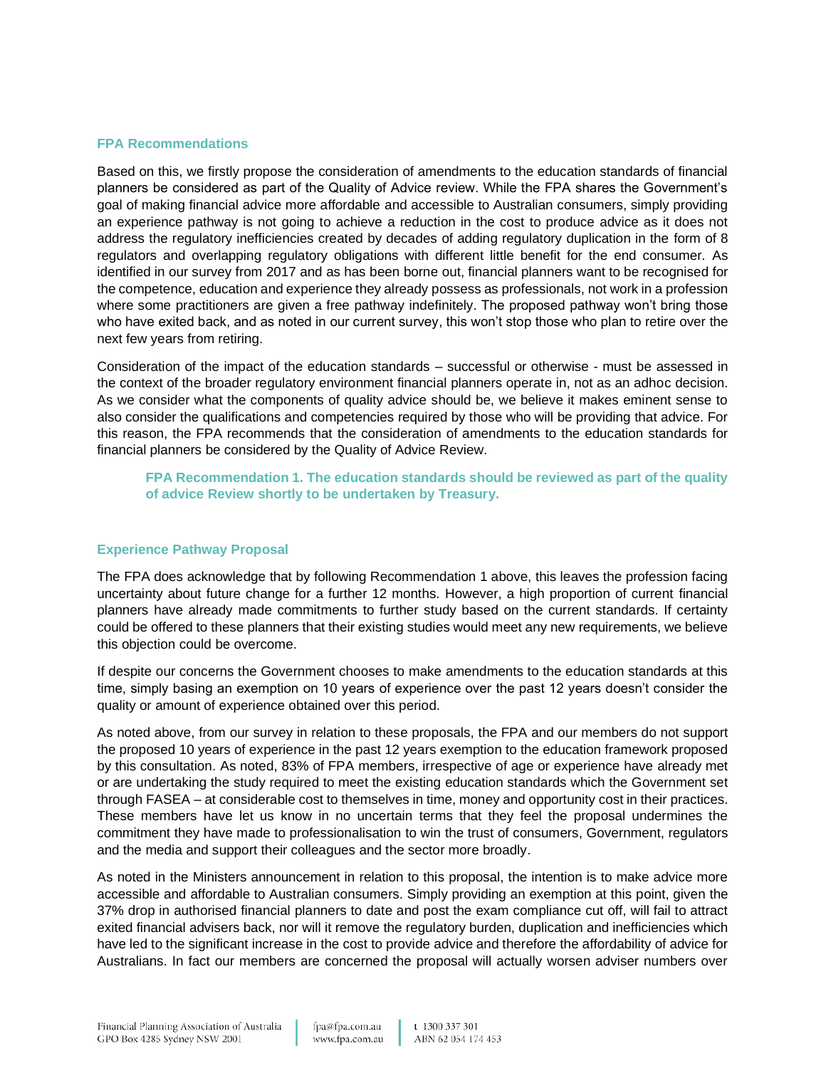#### **FPA Recommendations**

Based on this, we firstly propose the consideration of amendments to the education standards of financial planners be considered as part of the Quality of Advice review. While the FPA shares the Government's goal of making financial advice more affordable and accessible to Australian consumers, simply providing an experience pathway is not going to achieve a reduction in the cost to produce advice as it does not address the regulatory inefficiencies created by decades of adding regulatory duplication in the form of 8 regulators and overlapping regulatory obligations with different little benefit for the end consumer. As identified in our survey from 2017 and as has been borne out, financial planners want to be recognised for the competence, education and experience they already possess as professionals, not work in a profession where some practitioners are given a free pathway indefinitely. The proposed pathway won't bring those who have exited back, and as noted in our current survey, this won't stop those who plan to retire over the next few years from retiring.

Consideration of the impact of the education standards – successful or otherwise - must be assessed in the context of the broader regulatory environment financial planners operate in, not as an adhoc decision. As we consider what the components of quality advice should be, we believe it makes eminent sense to also consider the qualifications and competencies required by those who will be providing that advice. For this reason, the FPA recommends that the consideration of amendments to the education standards for financial planners be considered by the Quality of Advice Review.

**FPA Recommendation 1. The education standards should be reviewed as part of the quality of advice Review shortly to be undertaken by Treasury.** 

## **Experience Pathway Proposal**

The FPA does acknowledge that by following Recommendation 1 above, this leaves the profession facing uncertainty about future change for a further 12 months. However, a high proportion of current financial planners have already made commitments to further study based on the current standards. If certainty could be offered to these planners that their existing studies would meet any new requirements, we believe this objection could be overcome.

If despite our concerns the Government chooses to make amendments to the education standards at this time, simply basing an exemption on 10 years of experience over the past 12 years doesn't consider the quality or amount of experience obtained over this period.

As noted above, from our survey in relation to these proposals, the FPA and our members do not support the proposed 10 years of experience in the past 12 years exemption to the education framework proposed by this consultation. As noted, 83% of FPA members, irrespective of age or experience have already met or are undertaking the study required to meet the existing education standards which the Government set through FASEA – at considerable cost to themselves in time, money and opportunity cost in their practices. These members have let us know in no uncertain terms that they feel the proposal undermines the commitment they have made to professionalisation to win the trust of consumers, Government, regulators and the media and support their colleagues and the sector more broadly.

As noted in the Ministers announcement in relation to this proposal, the intention is to make advice more accessible and affordable to Australian consumers. Simply providing an exemption at this point, given the 37% drop in authorised financial planners to date and post the exam compliance cut off, will fail to attract exited financial advisers back, nor will it remove the regulatory burden, duplication and inefficiencies which have led to the significant increase in the cost to provide advice and therefore the affordability of advice for Australians. In fact our members are concerned the proposal will actually worsen adviser numbers over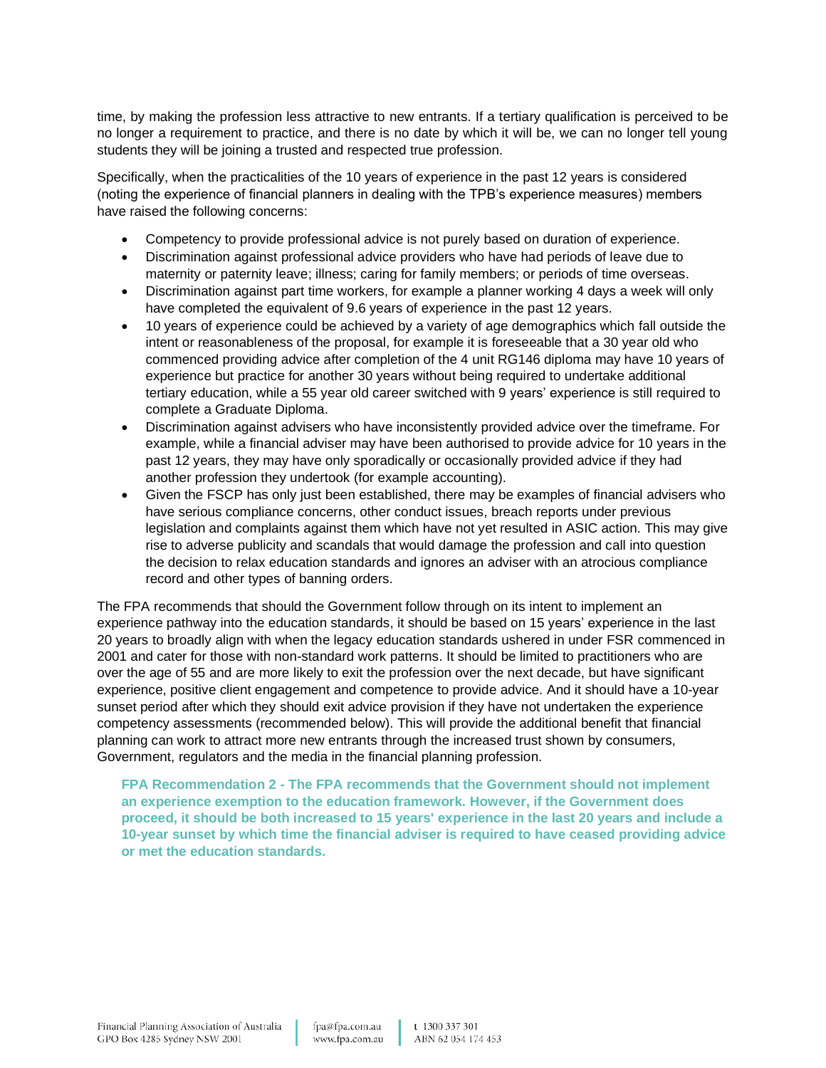time, by making the profession less attractive to new entrants. If a tertiary qualification is perceived to be no longer a requirement to practice, and there is no date by which it will be, we can no longer tell young students they will be joining a trusted and respected true profession.

Specifically, when the practicalities of the 10 years of experience in the past 12 years is considered (noting the experience of financial planners in dealing with the TPB's experience measures) members have raised the following concerns:

- Competency to provide professional advice is not purely based on duration of experience.
- Discrimination against professional advice providers who have had periods of leave due to maternity or paternity leave; illness; caring for family members; or periods of time overseas.
- Discrimination against part time workers, for example a planner working 4 days a week will only have completed the equivalent of 9.6 years of experience in the past 12 years.
- 10 years of experience could be achieved by a variety of age demographics which fall outside the intent or reasonableness of the proposal, for example it is foreseeable that a 30 year old who commenced providing advice after completion of the 4 unit RG146 diploma may have 10 years of experience but practice for another 30 years without being required to undertake additional tertiary education, while a 55 year old career switched with 9 years' experience is still required to complete a Graduate Diploma.
- Discrimination against advisers who have inconsistently provided advice over the timeframe. For example, while a financial adviser may have been authorised to provide advice for 10 years in the past 12 years, they may have only sporadically or occasionally provided advice if they had another profession they undertook (for example accounting).
- Given the FSCP has only just been established, there may be examples of financial advisers who have serious compliance concerns, other conduct issues, breach reports under previous legislation and complaints against them which have not yet resulted in ASIC action. This may give rise to adverse publicity and scandals that would damage the profession and call into question the decision to relax education standards and ignores an adviser with an atrocious compliance record and other types of banning orders.

The FPA recommends that should the Government follow through on its intent to implement an experience pathway into the education standards, it should be based on 15 years' experience in the last 20 years to broadly align with when the legacy education standards ushered in under FSR commenced in 2001 and cater for those with non-standard work patterns. It should be limited to practitioners who are over the age of 55 and are more likely to exit the profession over the next decade, but have significant experience, positive client engagement and competence to provide advice. And it should have a 10-year sunset period after which they should exit advice provision if they have not undertaken the experience competency assessments (recommended below). This will provide the additional benefit that financial planning can work to attract more new entrants through the increased trust shown by consumers, Government, regulators and the media in the financial planning profession.

**FPA Recommendation 2 - The FPA recommends that the Government should not implement an experience exemption to the education framework. However, if the Government does proceed, it should be both increased to 15 years' experience in the last 20 years and include a 10-year sunset by which time the financial adviser is required to have ceased providing advice or met the education standards.**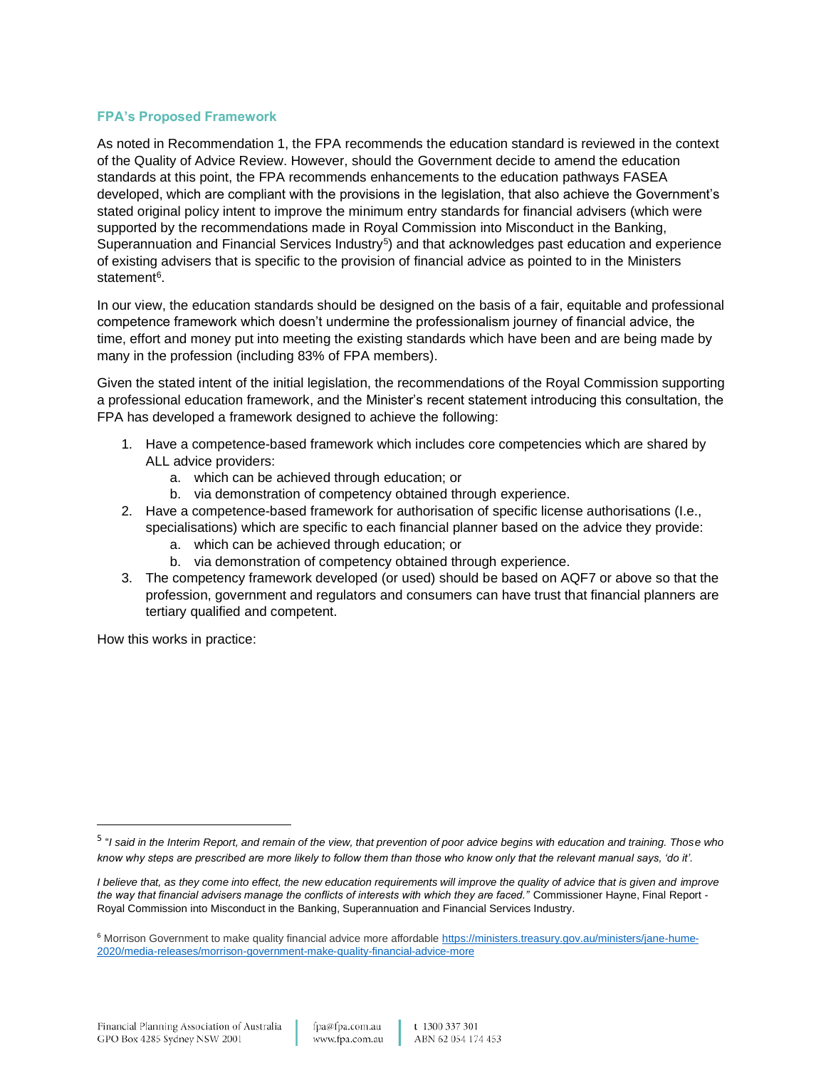### **FPA's Proposed Framework**

As noted in Recommendation 1, the FPA recommends the education standard is reviewed in the context of the Quality of Advice Review. However, should the Government decide to amend the education standards at this point, the FPA recommends enhancements to the education pathways FASEA developed, which are compliant with the provisions in the legislation, that also achieve the Government's stated original policy intent to improve the minimum entry standards for financial advisers (which were supported by the recommendations made in Royal Commission into Misconduct in the Banking, Superannuation and Financial Services Industry<sup>5</sup>) and that acknowledges past education and experience of existing advisers that is specific to the provision of financial advice as pointed to in the Ministers statement<sup>6</sup>.

In our view, the education standards should be designed on the basis of a fair, equitable and professional competence framework which doesn't undermine the professionalism journey of financial advice, the time, effort and money put into meeting the existing standards which have been and are being made by many in the profession (including 83% of FPA members).

Given the stated intent of the initial legislation, the recommendations of the Royal Commission supporting a professional education framework, and the Minister's recent statement introducing this consultation, the FPA has developed a framework designed to achieve the following:

- 1. Have a competence-based framework which includes core competencies which are shared by ALL advice providers:
	- a. which can be achieved through education; or
	- b. via demonstration of competency obtained through experience.
- 2. Have a competence-based framework for authorisation of specific license authorisations (I.e., specialisations) which are specific to each financial planner based on the advice they provide:
	- a. which can be achieved through education; or
	- b. via demonstration of competency obtained through experience.
- 3. The competency framework developed (or used) should be based on AQF7 or above so that the profession, government and regulators and consumers can have trust that financial planners are tertiary qualified and competent.

How this works in practice:

<sup>5</sup> "*I said in the Interim Report, and remain of the view, that prevention of poor advice begins with education and training. Those who know why steps are prescribed are more likely to follow them than those who know only that the relevant manual says, 'do it'.*

*I* believe that, as they come into effect, the new education requirements will improve the quality of advice that is given and improve *the way that financial advisers manage the conflicts of interests with which they are faced."* Commissioner Hayne, Final Report - Royal Commission into Misconduct in the Banking, Superannuation and Financial Services Industry.

<sup>6</sup> Morrison Government to make quality financial advice more affordable [https://ministers.treasury.gov.au/ministers/jane-hume-](https://ministers.treasury.gov.au/ministers/jane-hume-2020/media-releases/morrison-government-make-quality-financial-advice-more)[2020/media-releases/morrison-government-make-quality-financial-advice-more](https://ministers.treasury.gov.au/ministers/jane-hume-2020/media-releases/morrison-government-make-quality-financial-advice-more)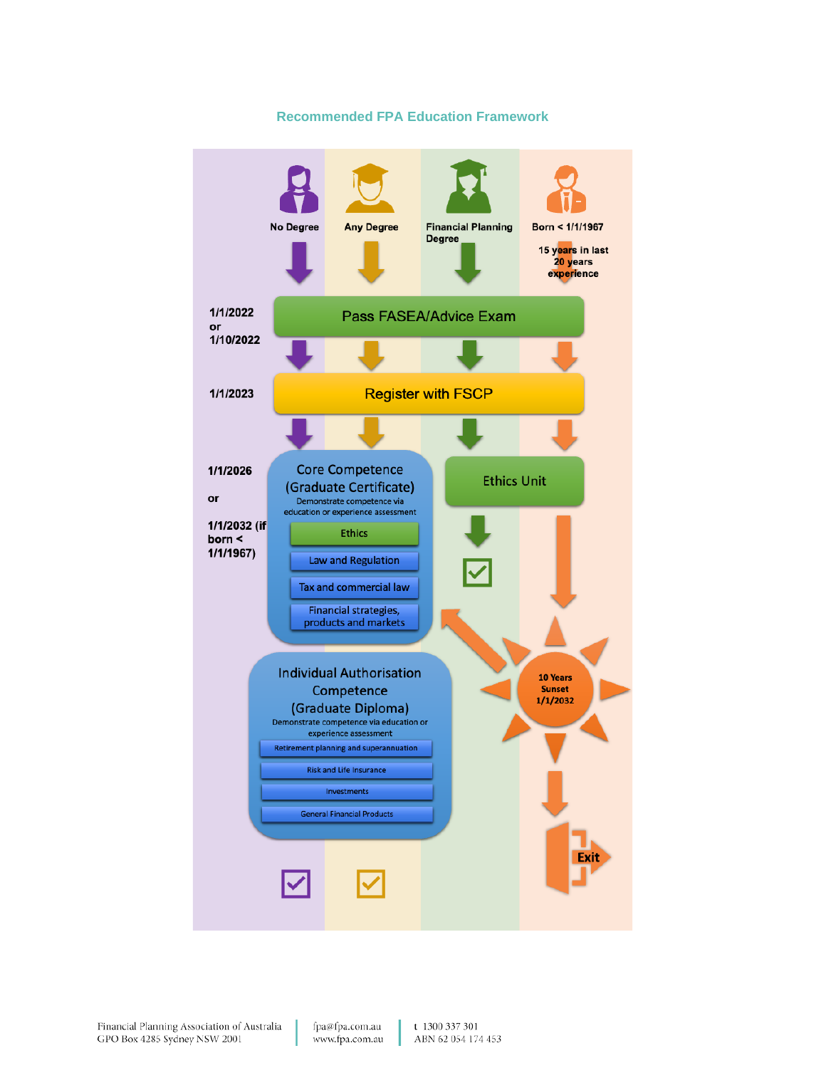

#### **Recommended FPA Education Framework**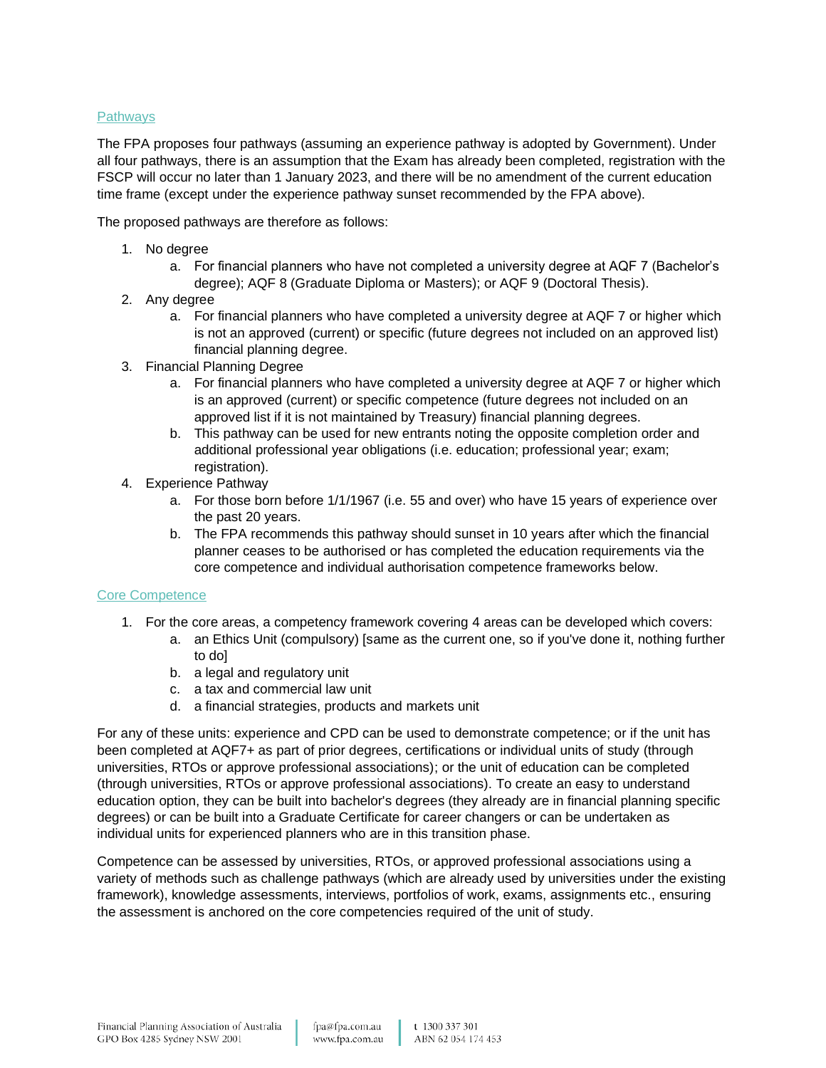## **Pathways**

The FPA proposes four pathways (assuming an experience pathway is adopted by Government). Under all four pathways, there is an assumption that the Exam has already been completed, registration with the FSCP will occur no later than 1 January 2023, and there will be no amendment of the current education time frame (except under the experience pathway sunset recommended by the FPA above).

The proposed pathways are therefore as follows:

- 1. No degree
	- a. For financial planners who have not completed a university degree at AQF 7 (Bachelor's degree); AQF 8 (Graduate Diploma or Masters); or AQF 9 (Doctoral Thesis).
- 2. Any degree
	- a. For financial planners who have completed a university degree at AQF 7 or higher which is not an approved (current) or specific (future degrees not included on an approved list) financial planning degree.
- 3. Financial Planning Degree
	- a. For financial planners who have completed a university degree at AQF 7 or higher which is an approved (current) or specific competence (future degrees not included on an approved list if it is not maintained by Treasury) financial planning degrees.
	- b. This pathway can be used for new entrants noting the opposite completion order and additional professional year obligations (i.e. education; professional year; exam; registration).
- 4. Experience Pathway
	- a. For those born before 1/1/1967 (i.e. 55 and over) who have 15 years of experience over the past 20 years.
	- b. The FPA recommends this pathway should sunset in 10 years after which the financial planner ceases to be authorised or has completed the education requirements via the core competence and individual authorisation competence frameworks below.

#### Core Competence

- 1. For the core areas, a competency framework covering 4 areas can be developed which covers:
	- a. an Ethics Unit (compulsory) [same as the current one, so if you've done it, nothing further to do]
	- b. a legal and regulatory unit
	- c. a tax and commercial law unit
	- d. a financial strategies, products and markets unit

For any of these units: experience and CPD can be used to demonstrate competence; or if the unit has been completed at AQF7+ as part of prior degrees, certifications or individual units of study (through universities, RTOs or approve professional associations); or the unit of education can be completed (through universities, RTOs or approve professional associations). To create an easy to understand education option, they can be built into bachelor's degrees (they already are in financial planning specific degrees) or can be built into a Graduate Certificate for career changers or can be undertaken as individual units for experienced planners who are in this transition phase.

Competence can be assessed by universities, RTOs, or approved professional associations using a variety of methods such as challenge pathways (which are already used by universities under the existing framework), knowledge assessments, interviews, portfolios of work, exams, assignments etc., ensuring the assessment is anchored on the core competencies required of the unit of study.

fpa@fpa.com.au www.fpa.com.au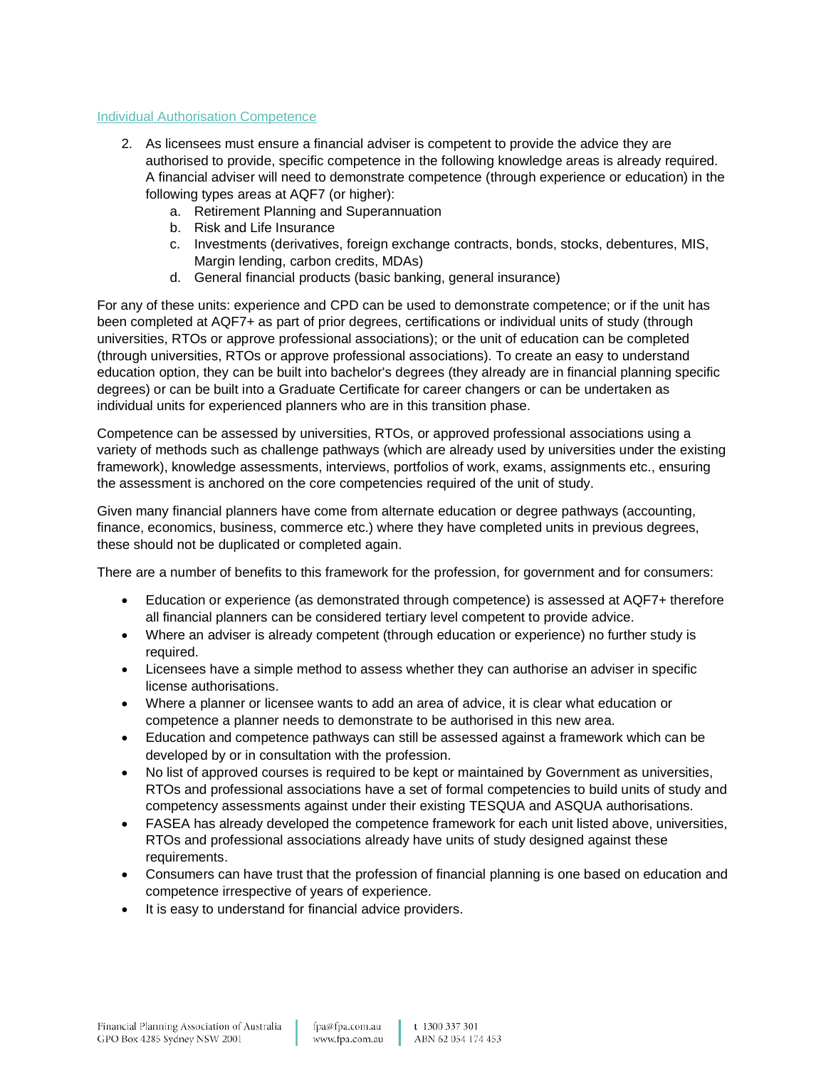#### Individual Authorisation Competence

- 2. As licensees must ensure a financial adviser is competent to provide the advice they are authorised to provide, specific competence in the following knowledge areas is already required. A financial adviser will need to demonstrate competence (through experience or education) in the following types areas at AQF7 (or higher):
	- a. Retirement Planning and Superannuation
	- b. Risk and Life Insurance
	- c. Investments (derivatives, foreign exchange contracts, bonds, stocks, debentures, MIS, Margin lending, carbon credits, MDAs)
	- d. General financial products (basic banking, general insurance)

For any of these units: experience and CPD can be used to demonstrate competence; or if the unit has been completed at AQF7+ as part of prior degrees, certifications or individual units of study (through universities, RTOs or approve professional associations); or the unit of education can be completed (through universities, RTOs or approve professional associations). To create an easy to understand education option, they can be built into bachelor's degrees (they already are in financial planning specific degrees) or can be built into a Graduate Certificate for career changers or can be undertaken as individual units for experienced planners who are in this transition phase.

Competence can be assessed by universities, RTOs, or approved professional associations using a variety of methods such as challenge pathways (which are already used by universities under the existing framework), knowledge assessments, interviews, portfolios of work, exams, assignments etc., ensuring the assessment is anchored on the core competencies required of the unit of study.

Given many financial planners have come from alternate education or degree pathways (accounting, finance, economics, business, commerce etc.) where they have completed units in previous degrees, these should not be duplicated or completed again.

There are a number of benefits to this framework for the profession, for government and for consumers:

- Education or experience (as demonstrated through competence) is assessed at AQF7+ therefore all financial planners can be considered tertiary level competent to provide advice.
- Where an adviser is already competent (through education or experience) no further study is required.
- Licensees have a simple method to assess whether they can authorise an adviser in specific license authorisations.
- Where a planner or licensee wants to add an area of advice, it is clear what education or competence a planner needs to demonstrate to be authorised in this new area.
- Education and competence pathways can still be assessed against a framework which can be developed by or in consultation with the profession.
- No list of approved courses is required to be kept or maintained by Government as universities, RTOs and professional associations have a set of formal competencies to build units of study and competency assessments against under their existing TESQUA and ASQUA authorisations.
- FASEA has already developed the competence framework for each unit listed above, universities, RTOs and professional associations already have units of study designed against these requirements.
- Consumers can have trust that the profession of financial planning is one based on education and competence irrespective of years of experience.
- It is easy to understand for financial advice providers.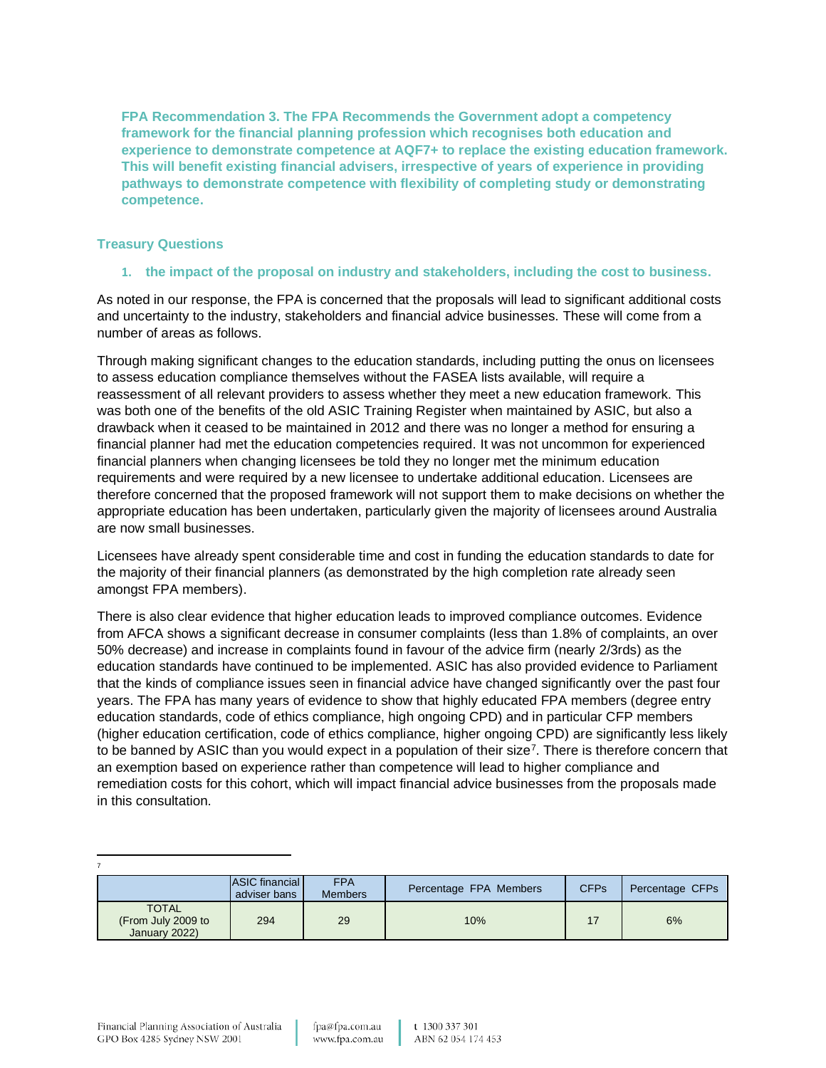**FPA Recommendation 3. The FPA Recommends the Government adopt a competency framework for the financial planning profession which recognises both education and experience to demonstrate competence at AQF7+ to replace the existing education framework. This will benefit existing financial advisers, irrespective of years of experience in providing pathways to demonstrate competence with flexibility of completing study or demonstrating competence.** 

### **Treasury Questions**

### **1. the impact of the proposal on industry and stakeholders, including the cost to business.**

As noted in our response, the FPA is concerned that the proposals will lead to significant additional costs and uncertainty to the industry, stakeholders and financial advice businesses. These will come from a number of areas as follows.

Through making significant changes to the education standards, including putting the onus on licensees to assess education compliance themselves without the FASEA lists available, will require a reassessment of all relevant providers to assess whether they meet a new education framework. This was both one of the benefits of the old ASIC Training Register when maintained by ASIC, but also a drawback when it ceased to be maintained in 2012 and there was no longer a method for ensuring a financial planner had met the education competencies required. It was not uncommon for experienced financial planners when changing licensees be told they no longer met the minimum education requirements and were required by a new licensee to undertake additional education. Licensees are therefore concerned that the proposed framework will not support them to make decisions on whether the appropriate education has been undertaken, particularly given the majority of licensees around Australia are now small businesses.

Licensees have already spent considerable time and cost in funding the education standards to date for the majority of their financial planners (as demonstrated by the high completion rate already seen amongst FPA members).

There is also clear evidence that higher education leads to improved compliance outcomes. Evidence from AFCA shows a significant decrease in consumer complaints (less than 1.8% of complaints, an over 50% decrease) and increase in complaints found in favour of the advice firm (nearly 2/3rds) as the education standards have continued to be implemented. ASIC has also provided evidence to Parliament that the kinds of compliance issues seen in financial advice have changed significantly over the past four years. The FPA has many years of evidence to show that highly educated FPA members (degree entry education standards, code of ethics compliance, high ongoing CPD) and in particular CFP members (higher education certification, code of ethics compliance, higher ongoing CPD) are significantly less likely to be banned by ASIC than you would expect in a population of their size<sup>7</sup>. There is therefore concern that an exemption based on experience rather than competence will lead to higher compliance and remediation costs for this cohort, which will impact financial advice businesses from the proposals made in this consultation.

|                                                     | ASIC financial<br>adviser bans | <b>FPA</b><br><b>Members</b> | Percentage FPA Members | <b>CFPs</b> | Percentage CFPs |
|-----------------------------------------------------|--------------------------------|------------------------------|------------------------|-------------|-----------------|
| <b>TOTAL</b><br>(From July 2009 to<br>January 2022) | 294                            | 29                           | 10%                    |             | 6%              |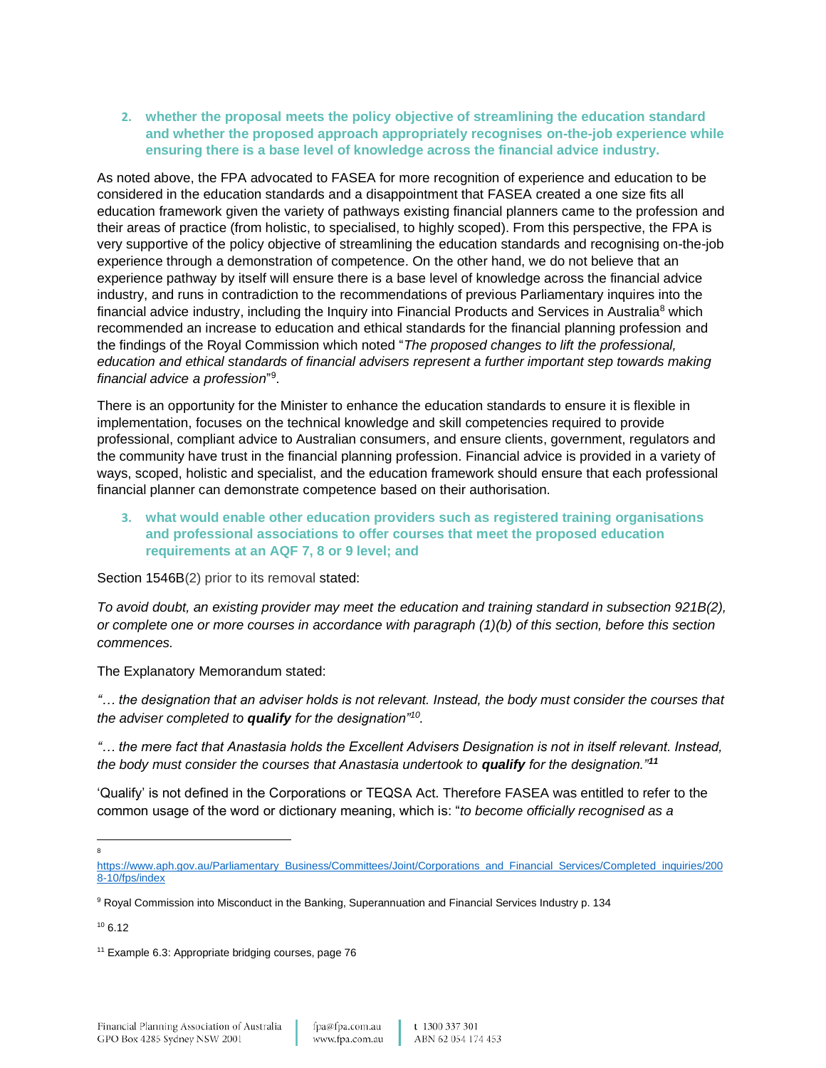**2. whether the proposal meets the policy objective of streamlining the education standard and whether the proposed approach appropriately recognises on-the-job experience while ensuring there is a base level of knowledge across the financial advice industry.**

As noted above, the FPA advocated to FASEA for more recognition of experience and education to be considered in the education standards and a disappointment that FASEA created a one size fits all education framework given the variety of pathways existing financial planners came to the profession and their areas of practice (from holistic, to specialised, to highly scoped). From this perspective, the FPA is very supportive of the policy objective of streamlining the education standards and recognising on-the-job experience through a demonstration of competence. On the other hand, we do not believe that an experience pathway by itself will ensure there is a base level of knowledge across the financial advice industry, and runs in contradiction to the recommendations of previous Parliamentary inquires into the financial advice industry, including the Inquiry into Financial Products and Services in Australia<sup>8</sup> which recommended an increase to education and ethical standards for the financial planning profession and the findings of the Royal Commission which noted "*The proposed changes to lift the professional, education and ethical standards of financial advisers represent a further important step towards making*  financial advice a profession"<sup>9</sup>.

There is an opportunity for the Minister to enhance the education standards to ensure it is flexible in implementation, focuses on the technical knowledge and skill competencies required to provide professional, compliant advice to Australian consumers, and ensure clients, government, regulators and the community have trust in the financial planning profession. Financial advice is provided in a variety of ways, scoped, holistic and specialist, and the education framework should ensure that each professional financial planner can demonstrate competence based on their authorisation.

**3. what would enable other education providers such as registered training organisations and professional associations to offer courses that meet the proposed education requirements at an AQF 7, 8 or 9 level; and**

Section 1546B(2) prior to its removal stated:

*To avoid doubt, an existing provider may meet the education and training standard in subsection 921B(2), or complete one or more courses in accordance with paragraph (1)(b) of this section, before this section commences.*

The Explanatory Memorandum stated:

*"… the designation that an adviser holds is not relevant. Instead, the body must consider the courses that the adviser completed to qualify for the designation"<sup>10</sup> .* 

*"… the mere fact that Anastasia holds the Excellent Advisers Designation is not in itself relevant. Instead, the body must consider the courses that Anastasia undertook to qualify for the designation."<sup>11</sup>*

'Qualify' is not defined in the Corporations or TEQSA Act. Therefore FASEA was entitled to refer to the common usage of the word or dictionary meaning, which is: "*to become officially recognised as a* 

8

[https://www.aph.gov.au/Parliamentary\\_Business/Committees/Joint/Corporations\\_and\\_Financial\\_Services/Completed\\_inquiries/200](https://www.aph.gov.au/Parliamentary_Business/Committees/Joint/Corporations_and_Financial_Services/Completed_inquiries/2008-10/fps/index) [8-10/fps/index](https://www.aph.gov.au/Parliamentary_Business/Committees/Joint/Corporations_and_Financial_Services/Completed_inquiries/2008-10/fps/index)

<sup>9</sup> Royal Commission into Misconduct in the Banking, Superannuation and Financial Services Industry p. 134

 $106.12$ 

<sup>&</sup>lt;sup>11</sup> Example 6.3: Appropriate bridging courses, page 76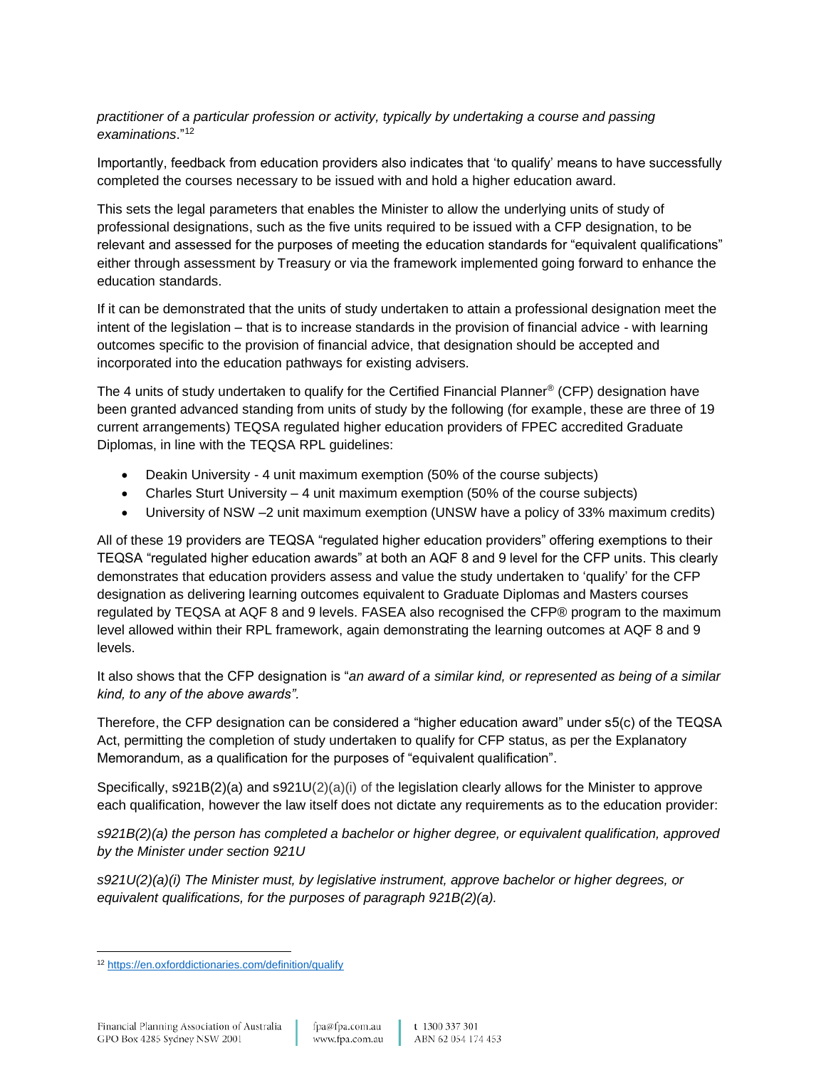*practitioner of a particular profession or activity, typically by undertaking a course and passing examinations*."<sup>12</sup>

Importantly, feedback from education providers also indicates that 'to qualify' means to have successfully completed the courses necessary to be issued with and hold a higher education award.

This sets the legal parameters that enables the Minister to allow the underlying units of study of professional designations, such as the five units required to be issued with a CFP designation, to be relevant and assessed for the purposes of meeting the education standards for "equivalent qualifications" either through assessment by Treasury or via the framework implemented going forward to enhance the education standards.

If it can be demonstrated that the units of study undertaken to attain a professional designation meet the intent of the legislation – that is to increase standards in the provision of financial advice - with learning outcomes specific to the provision of financial advice, that designation should be accepted and incorporated into the education pathways for existing advisers.

The 4 units of study undertaken to qualify for the Certified Financial Planner® (CFP) designation have been granted advanced standing from units of study by the following (for example, these are three of 19 current arrangements) TEQSA regulated higher education providers of FPEC accredited Graduate Diplomas, in line with the TEQSA RPL guidelines:

- Deakin University 4 unit maximum exemption (50% of the course subjects)
- Charles Sturt University 4 unit maximum exemption (50% of the course subjects)
- University of NSW –2 unit maximum exemption (UNSW have a policy of 33% maximum credits)

All of these 19 providers are TEQSA "regulated higher education providers" offering exemptions to their TEQSA "regulated higher education awards" at both an AQF 8 and 9 level for the CFP units. This clearly demonstrates that education providers assess and value the study undertaken to 'qualify' for the CFP designation as delivering learning outcomes equivalent to Graduate Diplomas and Masters courses regulated by TEQSA at AQF 8 and 9 levels. FASEA also recognised the CFP® program to the maximum level allowed within their RPL framework, again demonstrating the learning outcomes at AQF 8 and 9 levels.

It also shows that the CFP designation is "*an award of a similar kind, or represented as being of a similar kind, to any of the above awards".*

Therefore, the CFP designation can be considered a "higher education award" under s5(c) of the TEQSA Act, permitting the completion of study undertaken to qualify for CFP status, as per the Explanatory Memorandum, as a qualification for the purposes of "equivalent qualification".

Specifically, s921B(2)(a) and s921U(2)(a)(i) of the legislation clearly allows for the Minister to approve each qualification, however the law itself does not dictate any requirements as to the education provider:

*s921B(2)(a) the person has completed a bachelor or higher degree, or equivalent qualification, approved by the Minister under section 921U*

*s921U(2)(a)(i) The Minister must, by legislative instrument, approve bachelor or higher degrees, or equivalent qualifications, for the purposes of paragraph 921B(2)(a).*

<sup>12</sup> <https://en.oxforddictionaries.com/definition/qualify>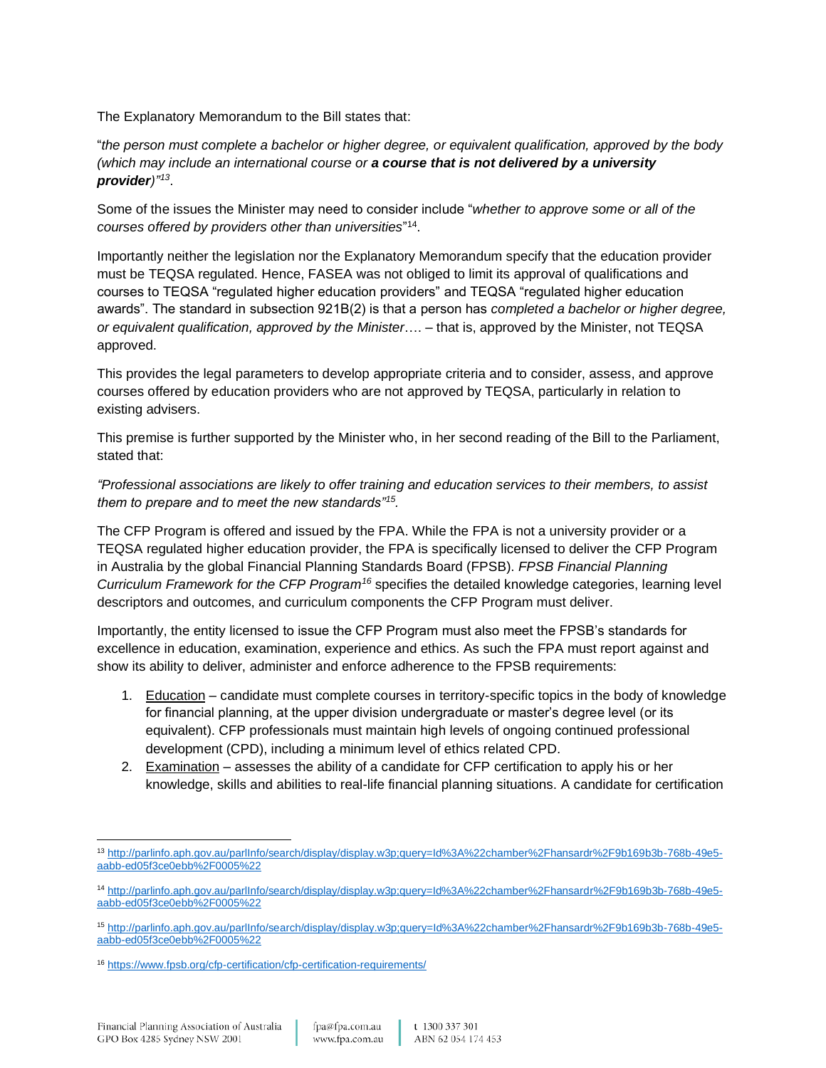The Explanatory Memorandum to the Bill states that:

"*the person must complete a bachelor or higher degree, or equivalent qualification, approved by the body (which may include an international course or a course that is not delivered by a university provider)"<sup>13</sup>* .

Some of the issues the Minister may need to consider include "*whether to approve some or all of the courses offered by providers other than universities*" 14 .

Importantly neither the legislation nor the Explanatory Memorandum specify that the education provider must be TEQSA regulated. Hence, FASEA was not obliged to limit its approval of qualifications and courses to TEQSA "regulated higher education providers" and TEQSA "regulated higher education awards". The standard in subsection 921B(2) is that a person has *completed a bachelor or higher degree, or equivalent qualification, approved by the Minister*…. – that is, approved by the Minister, not TEQSA approved.

This provides the legal parameters to develop appropriate criteria and to consider, assess, and approve courses offered by education providers who are not approved by TEQSA, particularly in relation to existing advisers.

This premise is further supported by the Minister who, in her second reading of the Bill to the Parliament, stated that:

*"Professional associations are likely to offer training and education services to their members, to assist them to prepare and to meet the new standards"<sup>15</sup> .*

The CFP Program is offered and issued by the FPA. While the FPA is not a university provider or a TEQSA regulated higher education provider, the FPA is specifically licensed to deliver the CFP Program in Australia by the global Financial Planning Standards Board (FPSB). *FPSB Financial Planning Curriculum Framework for the CFP Program<sup>16</sup>* specifies the detailed knowledge categories, learning level descriptors and outcomes, and curriculum components the CFP Program must deliver.

Importantly, the entity licensed to issue the CFP Program must also meet the FPSB's standards for excellence in education, examination, experience and ethics. As such the FPA must report against and show its ability to deliver, administer and enforce adherence to the FPSB requirements:

- 1. Education candidate must complete courses in territory-specific topics in the body of knowledge for financial planning, at the upper division undergraduate or master's degree level (or its equivalent). CFP professionals must maintain high levels of ongoing continued professional development (CPD), including a minimum level of ethics related CPD.
- 2. Examination assesses the ability of a candidate for CFP certification to apply his or her knowledge, skills and abilities to real-life financial planning situations. A candidate for certification

<sup>13</sup> [http://parlinfo.aph.gov.au/parlInfo/search/display/display.w3p;query=Id%3A%22chamber%2Fhansardr%2F9b169b3b-768b-49e5](http://parlinfo.aph.gov.au/parlInfo/search/display/display.w3p;query=Id%3A%22chamber%2Fhansardr%2F9b169b3b-768b-49e5-aabb-ed05f3ce0ebb%2F0005%22) [aabb-ed05f3ce0ebb%2F0005%22](http://parlinfo.aph.gov.au/parlInfo/search/display/display.w3p;query=Id%3A%22chamber%2Fhansardr%2F9b169b3b-768b-49e5-aabb-ed05f3ce0ebb%2F0005%22)

<sup>14</sup> [http://parlinfo.aph.gov.au/parlInfo/search/display/display.w3p;query=Id%3A%22chamber%2Fhansardr%2F9b169b3b-768b-49e5](http://parlinfo.aph.gov.au/parlInfo/search/display/display.w3p;query=Id%3A%22chamber%2Fhansardr%2F9b169b3b-768b-49e5-aabb-ed05f3ce0ebb%2F0005%22) [aabb-ed05f3ce0ebb%2F0005%22](http://parlinfo.aph.gov.au/parlInfo/search/display/display.w3p;query=Id%3A%22chamber%2Fhansardr%2F9b169b3b-768b-49e5-aabb-ed05f3ce0ebb%2F0005%22)

<sup>15</sup> [http://parlinfo.aph.gov.au/parlInfo/search/display/display.w3p;query=Id%3A%22chamber%2Fhansardr%2F9b169b3b-768b-49e5](http://parlinfo.aph.gov.au/parlInfo/search/display/display.w3p;query=Id%3A%22chamber%2Fhansardr%2F9b169b3b-768b-49e5-aabb-ed05f3ce0ebb%2F0005%22) [aabb-ed05f3ce0ebb%2F0005%22](http://parlinfo.aph.gov.au/parlInfo/search/display/display.w3p;query=Id%3A%22chamber%2Fhansardr%2F9b169b3b-768b-49e5-aabb-ed05f3ce0ebb%2F0005%22)

<sup>16</sup> <https://www.fpsb.org/cfp-certification/cfp-certification-requirements/>